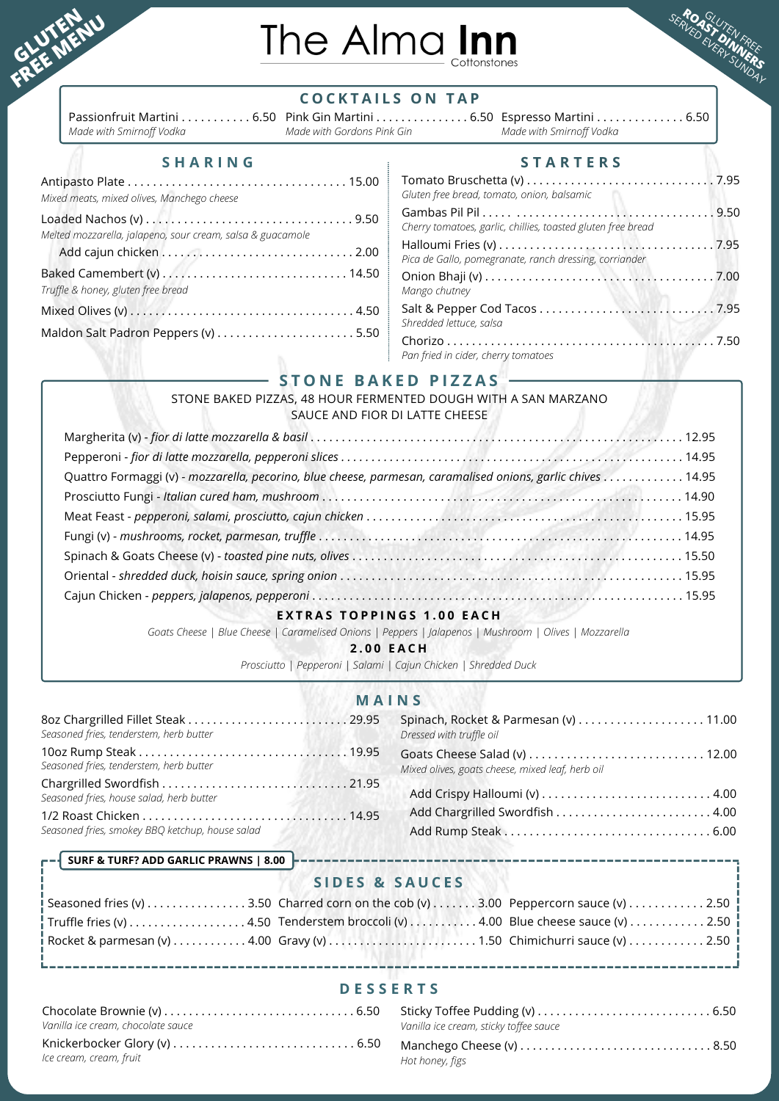

# The Alma Inn



### **C O C K T A I L S O N T A P**

Passionfruit Martini . . . . . . . . . . . 6.50 Pink Gin Martini . . . . . . . . . . . . . . . 6.50 Espresso Martini . . . . . . . . . . . . . . 6.50 *Made with Smirnoff Vodka*

*Made with Gordons Pink Gin*

*Made with Smirnoff Vodka*

| Mixed meats, mixed olives, Manchego cheese                 | Τc<br>Gli                    |
|------------------------------------------------------------|------------------------------|
| Melted mozzarella, jalapeno, sour cream, salsa & guacamole | Ga<br>Ch<br>Ha<br>Pic        |
| Truffle & honey, gluten free bread                         | $\overline{O}$<br>M          |
|                                                            | Sa                           |
|                                                            | Sh<br>$\mathsf{C}^{\dagger}$ |

### $S$  **H A R I N E R S I E R S E R S E R S**

| Gluten free bread, tomato, onion, balsamic                   |  |
|--------------------------------------------------------------|--|
| Cherry tomatoes, garlic, chillies, toasted gluten free bread |  |
| Pica de Gallo, pomegranate, ranch dressing, corriander       |  |
| Mango chutney                                                |  |
| Shredded lettuce, salsa                                      |  |
| Pan fried in cider, cherry tomatoes                          |  |

### **S T O N E B A K E D P I Z Z A S**

### STONE BAKED PIZZAS, 48 HOUR FERMENTED DOUGH WITH A SAN MARZANO SAUCE AND FIOR DI LATTE CHEESE

| Quattro Formaggi (v) - mozzarella, pecorino, blue cheese, parmesan, caramalised onions, garlic chives 14.95 |  |
|-------------------------------------------------------------------------------------------------------------|--|
|                                                                                                             |  |
|                                                                                                             |  |
|                                                                                                             |  |
|                                                                                                             |  |
|                                                                                                             |  |
|                                                                                                             |  |
| BAC TOBBINGS 4 AB FACU                                                                                      |  |

### **E X T R A S T O P P I N G S 1 . 0 0 E A C H**

Goats Cheese | Blue Cheese | Caramelised Onions | Peppers | Jalapenos | Mushroom | Olives | Mozzarella

**2 . 0 0 E A C H**

*Prosciutto | Pepperoni | Salami | Cajun Chicken | Shredded Duck*

### **M A I N S**

| Seasoned fries, tenderstem, herb butter                             | Dressed with truffle oil                         |
|---------------------------------------------------------------------|--------------------------------------------------|
|                                                                     |                                                  |
| Seasoned fries, tenderstem, herb butter                             | Mixed olives, goats cheese, mixed leaf, herb oil |
| Seasoned fries, house salad, herb butter                            |                                                  |
| Seasoned fries, smokey BBQ ketchup, house salad<br>AND A MARINE THE | Add Chargrilled Swordfish  4.00                  |

### **SURF & TURF? ADD GARLIC PRAWNS | 8.00**

### **S I D E S & S A U C E S**

|  | Seasoned fries (v) $\dots\dots\dots\dots3.50$ Charred corn on the cob (v) $\dots\dots3.00$ Peppercorn sauce (v) $\dots\dots\dots2.50$          |
|--|------------------------------------------------------------------------------------------------------------------------------------------------|
|  | Truffle fries (v) 4.50 Tenderstem broccoli (v) 4.00 Blue cheese sauce (v) 2.50                                                                 |
|  | Rocket & parmesan (v) $\dots\dots\dots\dots$ 4.00 Gravy (v) $\dots\dots\dots\dots\dots$ 1.50 Chimichurri sauce (v) $\dots\dots\dots\dots$ 2.50 |

### **D E S S E R T S**

| Vanilla ice cream, chocolate sauce                                                                                | Vanilla ice cream, sticky toffee sauce |  |
|-------------------------------------------------------------------------------------------------------------------|----------------------------------------|--|
| Knickerbocker Glory (v) $\dots\dots\dots\dots\dots\dots\dots\dots\dots\dots\dots$ 6.50<br>lce cream, cream, fruit | Hot honey, figs                        |  |